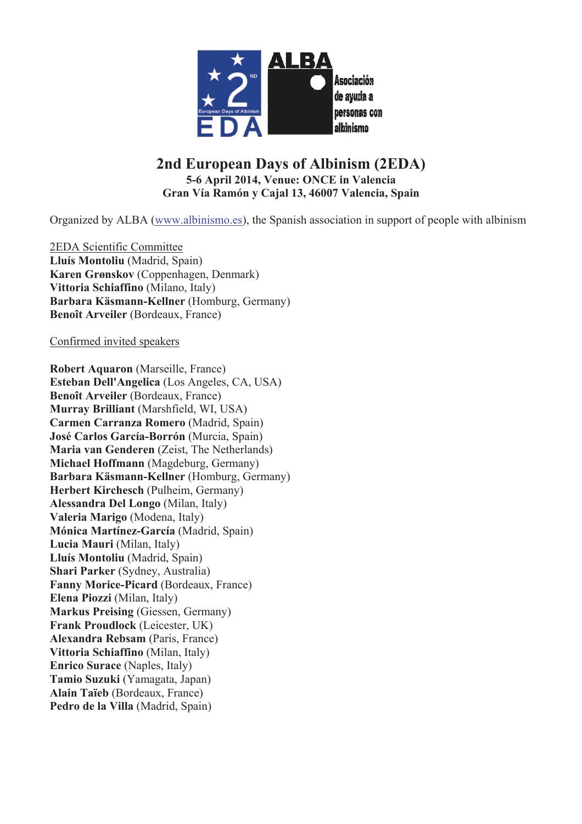

# **2nd European Days of Albinism (2EDA) 5-6 April 2014, Venue: ONCE in Valencia Gran Vía Ramón y Cajal 13, 46007 Valencia, Spain**

Organized by ALBA (www.albinismo.es), the Spanish association in support of people with albinism

2EDA Scientific Committee **Lluís Montoliu** (Madrid, Spain) **Karen Grønskov** (Coppenhagen, Denmark) **Vittoria Schiaffino** (Milano, Italy) **Barbara Käsmann-Kellner** (Homburg, Germany) **Benoît Arveiler** (Bordeaux, France)

#### Confirmed invited speakers

**Robert Aquaron** (Marseille, France) **Esteban Dell'Angelica** (Los Angeles, CA, USA) **Benoît Arveiler** (Bordeaux, France) **Murray Brilliant** (Marshfield, WI, USA) **Carmen Carranza Romero** (Madrid, Spain) **José Carlos García-Borrón** (Murcia, Spain) **Maria van Genderen** (Zeist, The Netherlands) **Michael Hoffmann** (Magdeburg, Germany) **Barbara Käsmann-Kellner** (Homburg, Germany) **Herbert Kirchesch** (Pulheim, Germany) **Alessandra Del Longo** (Milan, Italy) **Valeria Marigo** (Modena, Italy) **Mónica Martínez-García** (Madrid, Spain) **Lucia Mauri** (Milan, Italy) **Lluís Montoliu** (Madrid, Spain) **Shari Parker** (Sydney, Australia) **Fanny Morice-Picard** (Bordeaux, France) **Elena Piozzi** (Milan, Italy) **Markus Preising** (Giessen, Germany) **Frank Proudlock** (Leicester, UK) **Alexandra Rebsam** (Paris, France) **Vittoria Schiaffino** (Milan, Italy) **Enrico Surace** (Naples, Italy) **Tamio Suzuki** (Yamagata, Japan) **Alain Taïeb** (Bordeaux, France) **Pedro de la Villa** (Madrid, Spain)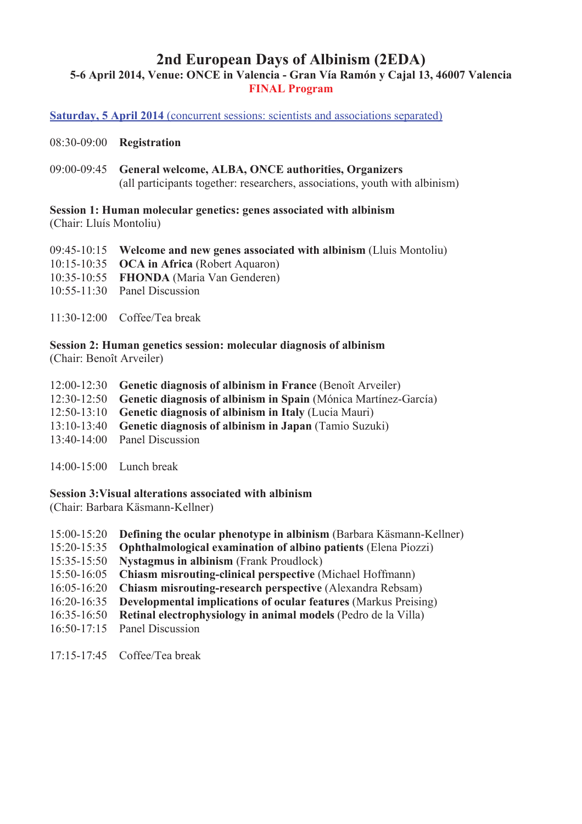## **2nd European Days of Albinism (2EDA) 5-6 April 2014, Venue: ONCE in Valencia - Gran Vía Ramón y Cajal 13, 46007 Valencia FINAL Program**

**Saturday, 5 April 2014** (concurrent sessions: scientists and associations separated)

08:30-09:00 **Registration**

09:00-09:45 **General welcome, ALBA, ONCE authorities, Organizers** (all participants together: researchers, associations, youth with albinism)

**Session 1: Human molecular genetics: genes associated with albinism**  (Chair: Lluís Montoliu)

09:45-10:15 **Welcome and new genes associated with albinism** (Lluis Montoliu) 10:15-10:35 **OCA in Africa** (Robert Aquaron) 10:35-10:55 **FHONDA** (Maria Van Genderen) 10:55-11:30 Panel Discussion

11:30-12:00 Coffee/Tea break

**Session 2: Human genetics session: molecular diagnosis of albinism**  (Chair: Benoît Arveiler)

12:00-12:30 **Genetic diagnosis of albinism in France** (Benoît Arveiler) 12:30-12:50 **Genetic diagnosis of albinism in Spain** (Mónica Martínez-García) 12:50-13:10 **Genetic diagnosis of albinism in Italy** (Lucia Mauri) 13:10-13:40 **Genetic diagnosis of albinism in Japan** (Tamio Suzuki) 13:40-14:00 Panel Discussion

14:00-15:00 Lunch break

**Session 3:Visual alterations associated with albinism** 

(Chair: Barbara Käsmann-Kellner)

- 15:00-15:20 **Defining the ocular phenotype in albinism** (Barbara Käsmann-Kellner)
- 15:20-15:35 **Ophthalmological examination of albino patients** (Elena Piozzi)
- 15:35-15:50 **Nystagmus in albinism** (Frank Proudlock)
- 15:50-16:05 **Chiasm misrouting-clinical perspective** (Michael Hoffmann)
- 16:05-16:20 **Chiasm misrouting-research perspective** (Alexandra Rebsam)
- 16:20-16:35 **Developmental implications of ocular features** (Markus Preising)
- 16:35-16:50 **Retinal electrophysiology in animal models** (Pedro de la Villa)
- 16:50-17:15 Panel Discussion
- 17:15-17:45 Coffee/Tea break